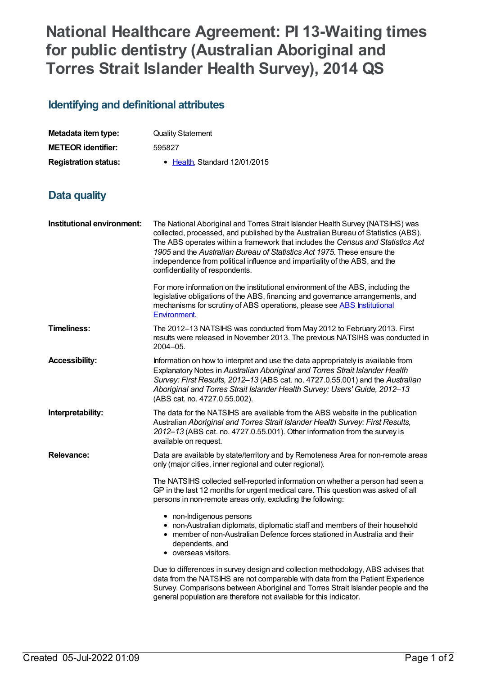## **National Healthcare Agreement: PI 13-Waiting times for public dentistry (Australian Aboriginal and Torres Strait Islander Health Survey), 2014 QS**

## **Identifying and definitional attributes**

| Metadata item type:         | <b>Quality Statement</b>     |
|-----------------------------|------------------------------|
| <b>METEOR identifier:</b>   | 595827                       |
| <b>Registration status:</b> | • Health Standard 12/01/2015 |

## **Data quality**

| Institutional environment: | The National Aboriginal and Torres Strait Islander Health Survey (NATSIHS) was<br>collected, processed, and published by the Australian Bureau of Statistics (ABS).<br>The ABS operates within a framework that includes the Census and Statistics Act<br>1905 and the Australian Bureau of Statistics Act 1975. These ensure the<br>independence from political influence and impartiality of the ABS, and the<br>confidentiality of respondents. |
|----------------------------|----------------------------------------------------------------------------------------------------------------------------------------------------------------------------------------------------------------------------------------------------------------------------------------------------------------------------------------------------------------------------------------------------------------------------------------------------|
|                            | For more information on the institutional environment of the ABS, including the<br>legislative obligations of the ABS, financing and governance arrangements, and<br>mechanisms for scrutiny of ABS operations, please see ABS Institutional<br><b>Environment</b>                                                                                                                                                                                 |
| <b>Timeliness:</b>         | The 2012-13 NATSIHS was conducted from May 2012 to February 2013. First<br>results were released in November 2013. The previous NATSIHS was conducted in<br>2004-05.                                                                                                                                                                                                                                                                               |
| <b>Accessibility:</b>      | Information on how to interpret and use the data appropriately is available from<br>Explanatory Notes in Australian Aboriginal and Torres Strait Islander Health<br>Survey: First Results, 2012-13 (ABS cat. no. 4727.0.55.001) and the Australian<br>Aboriginal and Torres Strait Islander Health Survey: Users' Guide, 2012-13<br>(ABS cat. no. 4727.0.55.002).                                                                                  |
| Interpretability:          | The data for the NATSIHS are available from the ABS website in the publication<br>Australian Aboriginal and Torres Strait Islander Health Survey: First Results,<br>2012-13 (ABS cat. no. 4727.0.55.001). Other information from the survey is<br>available on request.                                                                                                                                                                            |
| <b>Relevance:</b>          | Data are available by state/territory and by Remoteness Area for non-remote areas<br>only (major cities, inner regional and outer regional).                                                                                                                                                                                                                                                                                                       |
|                            | The NATSIHS collected self-reported information on whether a person had seen a<br>GP in the last 12 months for urgent medical care. This question was asked of all<br>persons in non-remote areas only, excluding the following:                                                                                                                                                                                                                   |
|                            | • non-Indigenous persons<br>• non-Australian diplomats, diplomatic staff and members of their household<br>• member of non-Australian Defence forces stationed in Australia and their<br>dependents, and<br>• overseas visitors.                                                                                                                                                                                                                   |
|                            | Due to differences in survey design and collection methodology, ABS advises that<br>data from the NATSIHS are not comparable with data from the Patient Experience<br>Survey. Comparisons between Aboriginal and Torres Strait Islander people and the<br>general population are therefore not available for this indicator.                                                                                                                       |